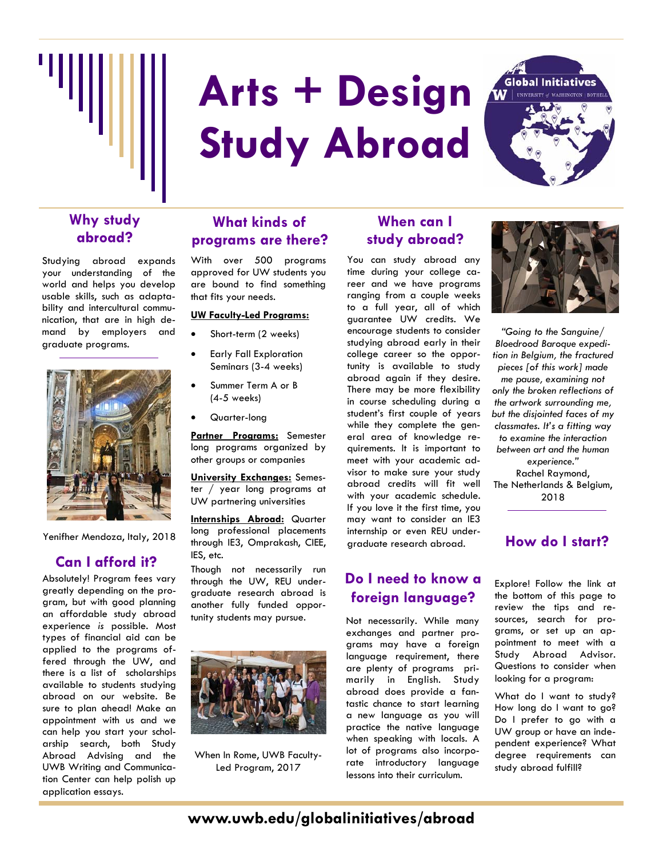

# **Arts + Design Study Abroad**



# **Why study abroad?**

Studying abroad expands your understanding of the world and helps you develop usable skills, such as adaptability and intercultural communication, that are in high demand by employers and graduate programs.



Yenifher Mendoza, Italy, 2018

## **Can I afford it?**

Absolutely! Program fees vary greatly depending on the program, but with good planning an affordable study abroad experience *is* possible. Most types of financial aid can be applied to the programs offered through the UW, and there is a list of scholarships available to students studying abroad on our website. Be sure to plan ahead! Make an appointment with us and we can help you start your scholarship search, both Study Abroad Advising and the UWB Writing and Communication Center can help polish up application essays.

# **What kinds of programs are there?**

With over 500 programs approved for UW students you are bound to find something that fits your needs.

#### **UW Faculty-Led Programs:**

- Short-term (2 weeks)
- Early Fall Exploration Seminars (3-4 weeks)
- Summer Term A or B (4-5 weeks)
- Quarter-long

**Partner Programs:** Semester long programs organized by other groups or companies

**University Exchanges:** Semester / year long programs at UW partnering universities

**Internships Abroad:** Quarter long professional placements through IE3, Omprakash, CIEE, IES, etc.

Though not necessarily run through the UW, REU undergraduate research abroad is another fully funded opportunity students may pursue.



When In Rome, UWB Faculty-Led Program, 2017

# **When can I study abroad?**

You can study abroad any time during your college career and we have programs ranging from a couple weeks to a full year, all of which guarantee UW credits. We encourage students to consider studying abroad early in their college career so the opportunity is available to study abroad again if they desire. There may be more flexibility in course scheduling during a student's first couple of years while they complete the general area of knowledge requirements. It is important to meet with your academic advisor to make sure your study abroad credits will fit well with your academic schedule. If you love it the first time, you may want to consider an IE3 internship or even REU undergraduate research abroad.

# **Do I need to know a foreign language?**

Not necessarily. While many exchanges and partner programs may have a foreign language requirement, there are plenty of programs primarily in English. Study abroad does provide a fantastic chance to start learning a new language as you will practice the native language when speaking with locals. A lot of programs also incorporate introductory language lessons into their curriculum.



*"Going to the Sanguine/ Bloedrood Baroque expedition in Belgium, the fractured pieces [of this work] made me pause, examining not only the broken reflections of the artwork surrounding me, but the disjointed faces of my classmates. It's a fitting way to examine the interaction between art and the human experience."* Rachel Raymond, The Netherlands & Belgium, 2018

## **How do I start?**

Explore! Follow the link at the bottom of this page to review the tips and resources, search for programs, or set up an appointment to meet with a Study Abroad Advisor. Questions to consider when looking for a program:

What do I want to study? How long do I want to go? Do I prefer to go with a UW group or have an independent experience? What degree requirements can study abroad fulfill?